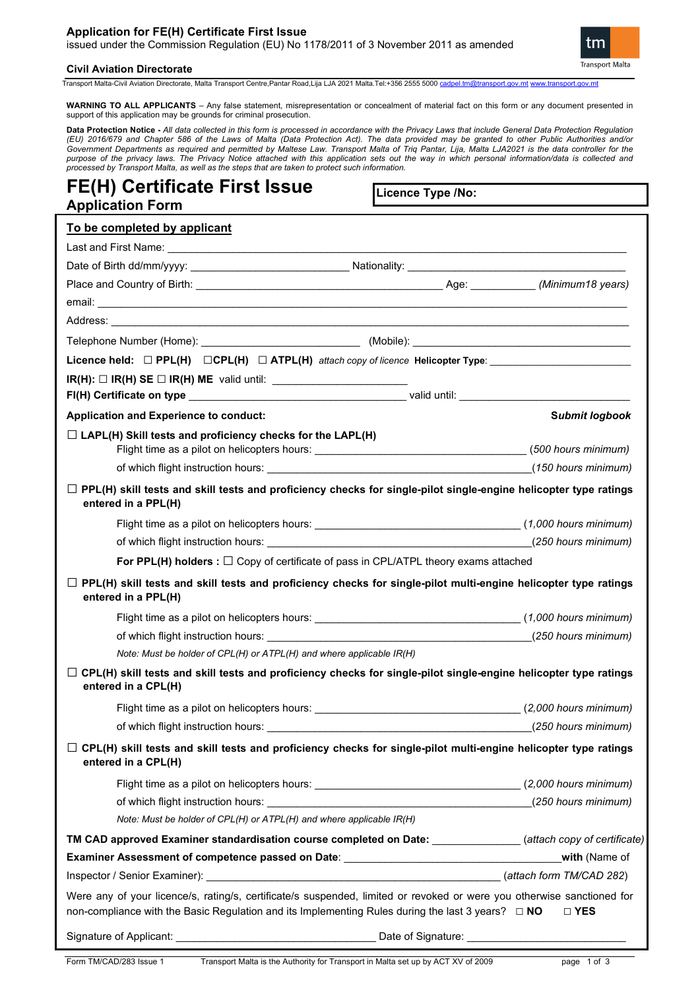## **Application for FE(H) Certificate First Issue**

issued under the Commission Regulation (EU) No 1178/2011 of 3 November 2011 as amended



**Civil Aviation Directorate**

Transport Malta-Civil Aviation Directorate, Malta Transport Centre,Pantar Road,Lija LJA 2021 Malta.Tel:+356 2555 5000 [cadpel.tm@transport.gov.mt](mailto:cadpel.tm@transport.gov.mt) www.transport.gov.m

**WARNING TO ALL APPLICANTS** – Any false statement, misrepresentation or concealment of material fact on this form or any document presented in support of this application may be grounds for criminal prosecution.

**Data Protection Notice -** All data collected in this form is processed in accordance with the Privacy Laws that include General Data Protection Regulation<br>(EU) 2016/679 and Chapter 586 of the Laws of Malta (Data Protectio *Government Departments as required and permitted by Maltese Law. Transport Malta of Triq Pantar, Lija, Malta LJA2021 is the data controller for the*  purpose of the privacy laws. The Privacy Notice attached with this application sets out the way in which personal information/data is collected and *processed by Transport Malta, as well as the steps that are taken to protect such information.*

# **FE(H) Certificate First Issue Application Form**

**Licence Type /No:** 

| To be completed by applicant                                                                                                                                                                                                     |                                                                                                       |                       |
|----------------------------------------------------------------------------------------------------------------------------------------------------------------------------------------------------------------------------------|-------------------------------------------------------------------------------------------------------|-----------------------|
|                                                                                                                                                                                                                                  |                                                                                                       |                       |
|                                                                                                                                                                                                                                  |                                                                                                       |                       |
|                                                                                                                                                                                                                                  |                                                                                                       |                       |
|                                                                                                                                                                                                                                  |                                                                                                       |                       |
|                                                                                                                                                                                                                                  |                                                                                                       |                       |
| Telephone Number (Home): ________________________________(Mobile): ______________                                                                                                                                                |                                                                                                       |                       |
|                                                                                                                                                                                                                                  |                                                                                                       |                       |
|                                                                                                                                                                                                                                  |                                                                                                       |                       |
|                                                                                                                                                                                                                                  |                                                                                                       |                       |
| Application and Experience to conduct:                                                                                                                                                                                           |                                                                                                       | <b>Submit logbook</b> |
| $\Box$ LAPL(H) Skill tests and proficiency checks for the LAPL(H)                                                                                                                                                                |                                                                                                       |                       |
|                                                                                                                                                                                                                                  |                                                                                                       |                       |
|                                                                                                                                                                                                                                  |                                                                                                       |                       |
| $\Box$ PPL(H) skill tests and skill tests and proficiency checks for single-pilot single-engine helicopter type ratings<br>entered in a PPL(H)                                                                                   |                                                                                                       |                       |
|                                                                                                                                                                                                                                  |                                                                                                       |                       |
|                                                                                                                                                                                                                                  |                                                                                                       |                       |
|                                                                                                                                                                                                                                  | For PPL(H) holders : $\square$ Copy of certificate of pass in CPL/ATPL theory exams attached          |                       |
| $\Box$ PPL(H) skill tests and skill tests and proficiency checks for single-pilot multi-engine helicopter type ratings<br>entered in a PPL(H)                                                                                    |                                                                                                       |                       |
|                                                                                                                                                                                                                                  |                                                                                                       |                       |
|                                                                                                                                                                                                                                  |                                                                                                       |                       |
| Note: Must be holder of CPL(H) or ATPL(H) and where applicable IR(H)                                                                                                                                                             |                                                                                                       |                       |
| $\Box$ CPL(H) skill tests and skill tests and proficiency checks for single-pilot single-engine helicopter type ratings<br>entered in a CPL(H)                                                                                   |                                                                                                       |                       |
|                                                                                                                                                                                                                                  | Flight time as a pilot on helicopters hours: ___________________________________(2,000 hours minimum) |                       |
|                                                                                                                                                                                                                                  |                                                                                                       |                       |
| $\Box$ CPL(H) skill tests and skill tests and proficiency checks for single-pilot multi-engine helicopter type ratings<br>entered in a CPL(H)                                                                                    |                                                                                                       |                       |
|                                                                                                                                                                                                                                  |                                                                                                       |                       |
|                                                                                                                                                                                                                                  |                                                                                                       |                       |
| Note: Must be holder of CPL(H) or ATPL(H) and where applicable IR(H)                                                                                                                                                             |                                                                                                       |                       |
| TM CAD approved Examiner standardisation course completed on Date: ____________(attach copy of certificate)                                                                                                                      |                                                                                                       |                       |
| Examiner Assessment of competence passed on Date: ______________________________                                                                                                                                                 |                                                                                                       | with (Name of         |
|                                                                                                                                                                                                                                  |                                                                                                       |                       |
| Were any of your licence/s, rating/s, certificate/s suspended, limited or revoked or were you otherwise sanctioned for<br>non-compliance with the Basic Regulation and its Implementing Rules during the last 3 years? $\Box$ NO |                                                                                                       | □ YES                 |
|                                                                                                                                                                                                                                  |                                                                                                       |                       |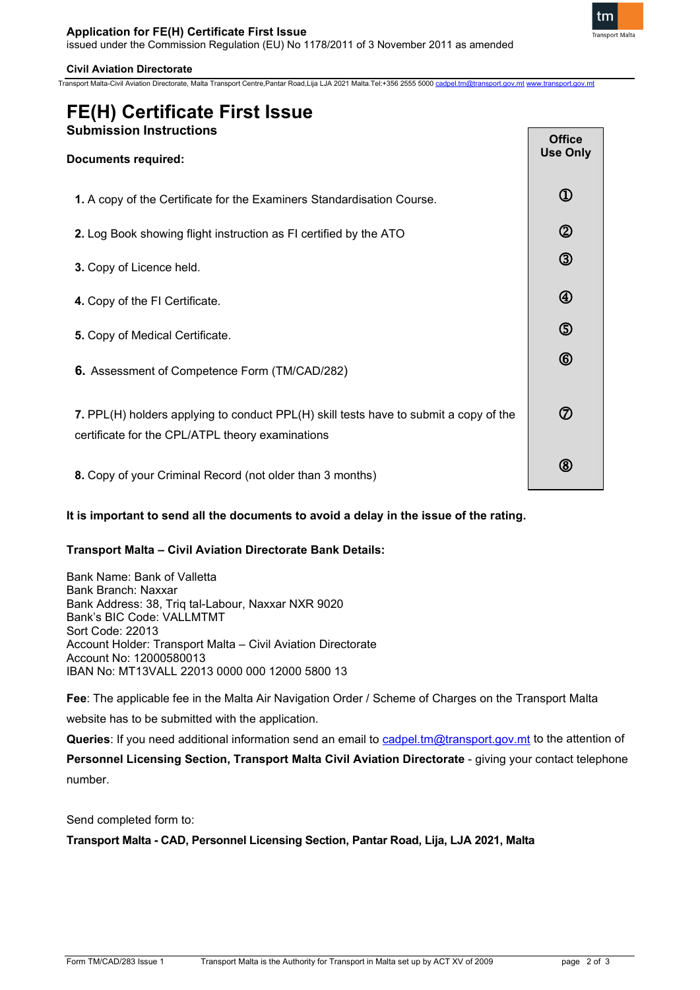Transport Malta-Civil Aviation Directorate, Malta Transport Centre,Pantar Road,Lija LJA 2021 Malta.Tel:+356 2555 5000 cadp



#### **Civil Aviation Directorate**

## **FE(H) Certificate First Issue Submission Instructions**

| <b>Documents required:</b>                                                                                                                |                |
|-------------------------------------------------------------------------------------------------------------------------------------------|----------------|
| 1. A copy of the Certificate for the Examiners Standardisation Course.                                                                    | $^\copyright$  |
| 2. Log Book showing flight instruction as FI certified by the ATO                                                                         | $^{\circledR}$ |
| 3. Copy of Licence held.                                                                                                                  | $\circledS$    |
| 4. Copy of the FI Certificate.                                                                                                            | $\bigcirc$     |
| 5. Copy of Medical Certificate.                                                                                                           | $\circledS$    |
| 6. Assessment of Competence Form (TM/CAD/282)                                                                                             | $^{\circledR}$ |
| 7. PPL(H) holders applying to conduct PPL(H) skill tests have to submit a copy of the<br>certificate for the CPL/ATPL theory examinations |                |
| 8. Copy of your Criminal Record (not older than 3 months)                                                                                 | $^\circledR$   |

## **It is important to send all the documents to avoid a delay in the issue of the rating.**

## **Transport Malta – Civil Aviation Directorate Bank Details:**

Bank Name: Bank of Valletta Bank Branch: Naxxar Bank Address: 38, Triq tal-Labour, Naxxar NXR 9020 Bank's BIC Code: VALLMTMT Sort Code: 22013 Account Holder: Transport Malta – Civil Aviation Directorate Account No: 12000580013 IBAN No: MT13VALL 22013 0000 000 12000 5800 13

**Fee**: The applicable fee in the Malta Air Navigation Order / Scheme of Charges on the Transport Malta

website has to be submitted with the application.

Queries: If you need additional information send an email to [cadpel.tm@transport.gov.mt](mailto:cadpel.tm@transport.gov.mt) to the attention of

Personnel Licensing Section, Transport Malta Civil Aviation Directorate - giving your contact telephone number.

Send completed form to:

**Transport Malta - CAD, Personnel Licensing Section, Pantar Road, Lija, LJA 2021, Malta**